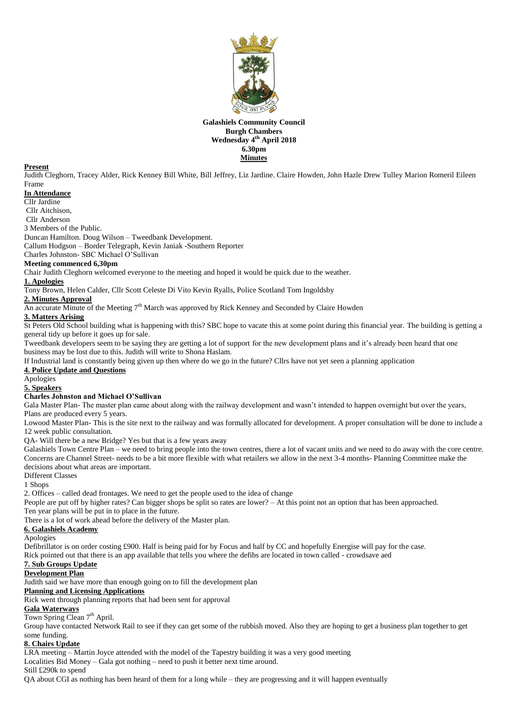

#### **Galashiels Community Council Burgh Chambers Wednesday 4 th April 2018 6.30pm Minutes**

#### **Present**

Judith Cleghorn, Tracey Alder, Rick Kenney Bill White, Bill Jeffrey, Liz Jardine. Claire Howden, John Hazle Drew Tulley Marion Romeril Eileen Frame

#### **In Attendance**

Cllr Jardine

Cllr Aitchison,

Cllr Anderson

3 Members of the Public.

Duncan Hamilton. Doug Wilson – Tweedbank Development.

Callum Hodgson – Border Telegraph, Kevin Janiak -Southern Reporter

Charles Johnston- SBC Michael O'Sullivan

# **Meeting commenced 6,30pm**

Chair Judith Cleghorn welcomed everyone to the meeting and hoped it would be quick due to the weather.

#### **1. Apologies**

Tony Brown, Helen Calder, Cllr Scott Celeste Di Vito Kevin Ryalls, Police Scotland Tom Ingoldsby

#### **2. Minutes Approval**

An accurate Minute of the Meeting  $7<sup>th</sup>$  March was approved by Rick Kenney and Seconded by Claire Howden

#### **3. Matters Arising**

St Peters Old School building what is happening with this? SBC hope to vacate this at some point during this financial year. The building is getting a general tidy up before it goes up for sale.

Tweedbank developers seem to be saying they are getting a lot of support for the new development plans and it's already been heard that one business may be lost due to this. Judith will write to Shona Haslam.

If Industrial land is constantly being given up then where do we go in the future? Cllrs have not yet seen a planning application

# **4. Police Update and Questions**

Apologies

# **5. Speakers**

## **Charles Johnston and Michael O'Sullivan**

Gala Master Plan- The master plan came about along with the railway development and wasn't intended to happen overnight but over the years, Plans are produced every 5 years.

Lowood Master Plan- This is the site next to the railway and was formally allocated for development. A proper consultation will be done to include a 12 week public consultation.

QA- Will there be a new Bridge? Yes but that is a few years away

Galashiels Town Centre Plan – we need to bring people into the town centres, there a lot of vacant units and we need to do away with the core centre. Concerns are Channel Street- needs to be a bit more flexible with what retailers we allow in the next 3-4 months- Planning Committee make the decisions about what areas are important.

Different Classes

1 Shops

2. Offices – called dead frontages. We need to get the people used to the idea of change

People are put off by higher rates? Can bigger shops be split so rates are lower? – At this point not an option that has been approached. Ten year plans will be put in to place in the future.

There is a lot of work ahead before the delivery of the Master plan.

## **6. Galashiels Academy**

Apologies

Defibrillator is on order costing £900. Half is being paid for by Focus and half by CC and hopefully Energise will pay for the case.

Rick pointed out that there is an app available that tells you where the defibs are located in town called - crowdsave aed

#### **7. Sub Groups Update Development Plan**

Judith said we have more than enough going on to fill the development plan

#### **Planning and Licensing Applications**

Rick went through planning reports that had been sent for approval

## **Gala Waterways**

Town Spring Clean 7<sup>th</sup> April.

Group have contacted Network Rail to see if they can get some of the rubbish moved. Also they are hoping to get a business plan together to get some funding.

# **8. Chairs Update**

LRA meeting – Martin Joyce attended with the model of the Tapestry building it was a very good meeting

Localities Bid Money – Gala got nothing – need to push it better next time around.

Still £290k to spend

QA about CGI as nothing has been heard of them for a long while – they are progressing and it will happen eventually